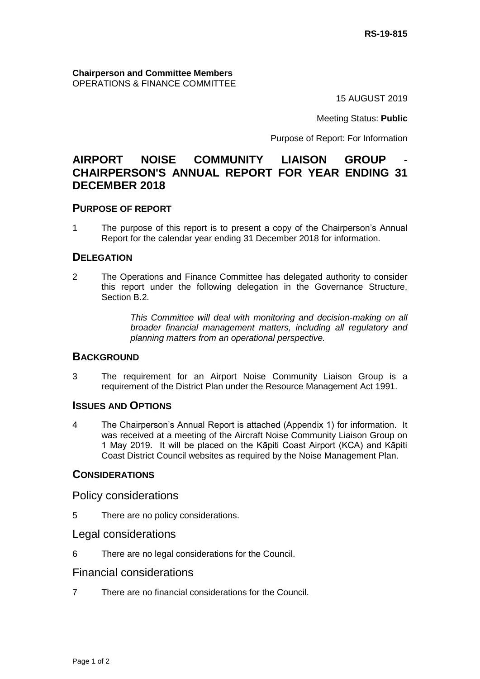**Chairperson and Committee Members** OPERATIONS & FINANCE COMMITTEE

15 AUGUST 2019

Meeting Status: **Public**

Purpose of Report: For Information

# **AIRPORT NOISE COMMUNITY LIAISON GROUP CHAIRPERSON'S ANNUAL REPORT FOR YEAR ENDING 31 DECEMBER 2018**

## **PURPOSE OF REPORT**

1 The purpose of this report is to present a copy of the Chairperson's Annual Report for the calendar year ending 31 December 2018 for information.

### **DELEGATION**

2 The Operations and Finance Committee has delegated authority to consider this report under the following delegation in the Governance Structure, Section B.2.

> *This Committee will deal with monitoring and decision-making on all broader financial management matters, including all regulatory and planning matters from an operational perspective.*

## **BACKGROUND**

3 The requirement for an Airport Noise Community Liaison Group is a requirement of the District Plan under the Resource Management Act 1991.

### **ISSUES AND OPTIONS**

4 The Chairperson's Annual Report is attached (Appendix 1) for information. It was received at a meeting of the Aircraft Noise Community Liaison Group on 1 May 2019. It will be placed on the Kāpiti Coast Airport (KCA) and Kāpiti Coast District Council websites as required by the Noise Management Plan.

## **CONSIDERATIONS**

Policy considerations

- 5 There are no policy considerations.
- Legal considerations
- 6 There are no legal considerations for the Council.

## Financial considerations

7 There are no financial considerations for the Council.